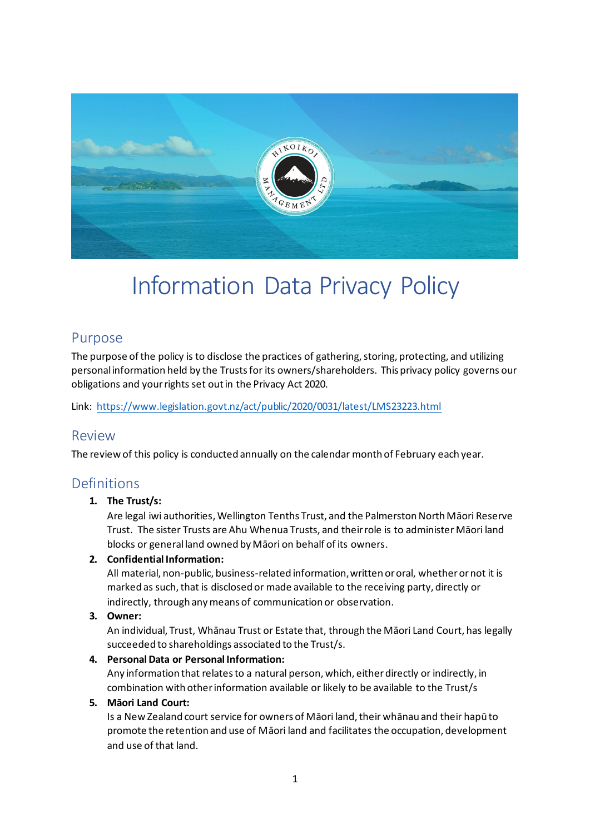

# Information Data Privacy Policy

## Purpose

The purpose of the policy is to disclose the practices of gathering, storing, protecting, and utilizing personal information held by the Trusts for its owners/shareholders. This privacy policy governs our obligations and your rights set out in the Privacy Act 2020.

Link: <https://www.legislation.govt.nz/act/public/2020/0031/latest/LMS23223.html>

### Review

The review of this policy is conducted annually on the calendar month of February each year.

# Definitions

### **1. The Trust/s:**

Are legal iwi authorities, Wellington Tenths Trust, and the Palmerston North Māori Reserve Trust. The sister Trusts are Ahu Whenua Trusts, and their role is to administer Māori land blocks or general land owned by Māori on behalf of its owners.

### **2. Confidential Information:**

All material, non-public, business-related information, written or oral, whether or not it is marked as such, that is disclosed or made available to the receiving party, directly or indirectly, through any means of communication or observation.

### **3. Owner:**

An individual, Trust, Whānau Trust or Estate that, through the Māori Land Court, has legally succeeded to shareholdings associated to the Trust/s.

### **4. Personal Data or Personal Information:**

Any information that relates to a natural person, which, either directly or indirectly, in combination with other information available or likely to be available to the Trust/s

### **5. Māori Land Court:**

Is a New Zealand court service for owners of Māori land, their whānau and their hapū to promote the retention and use of Māori land and facilitates the occupation, development and use of that land.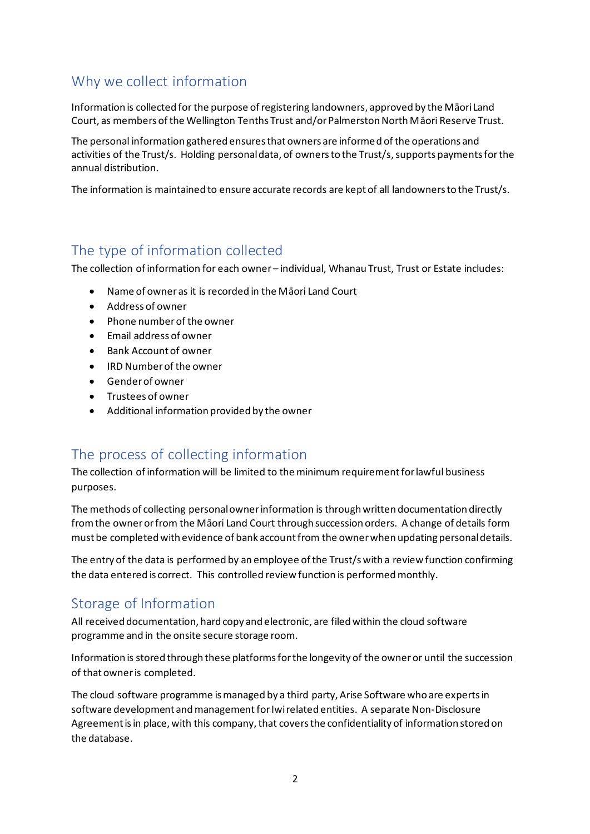# Why we collect information

Information is collected for the purpose of registering landowners, approved by the Māori Land Court, as members of the Wellington Tenths Trust and/or Palmerston North Māori Reserve Trust.

The personal information gathered ensures that owners are informed of the operations and activities of the Trust/s. Holding personal data, of owners to the Trust/s, supports payments for the annual distribution.

The information is maintained to ensure accurate records are kept of all landowners to the Trust/s.

# The type of information collected

The collection of information for each owner – individual, Whanau Trust, Trust or Estate includes:

- Name of owner as it is recorded in the Māori Land Court
- Address of owner
- Phone number of the owner
- Email address of owner
- Bank Account of owner
- IRD Number of the owner
- Gender of owner
- Trustees of owner
- Additional information provided by the owner

# The process of collecting information

The collection of information will be limited to the minimum requirement for lawful business purposes.

The methods of collecting personal owner information is through written documentation directly from the owner or from the Māori Land Court through succession orders. A change of details form must be completed with evidence of bank account from the owner when updating personal details.

The entry of the data is performed by an employee of the Trust/s with a review function confirming the data entered is correct. This controlled review function is performed monthly.

# Storage of Information

All received documentation, hard copy and electronic, are filed within the cloud software programme and in the onsite secure storage room.

Information is stored through these platforms for the longevity of the owner or until the succession of that owner is completed.

The cloud software programme is managed by a third party, Arise Software who are experts in software development and management for Iwi related entities. A separate Non-Disclosure Agreement is in place, with this company, that covers the confidentiality of information stored on the database.